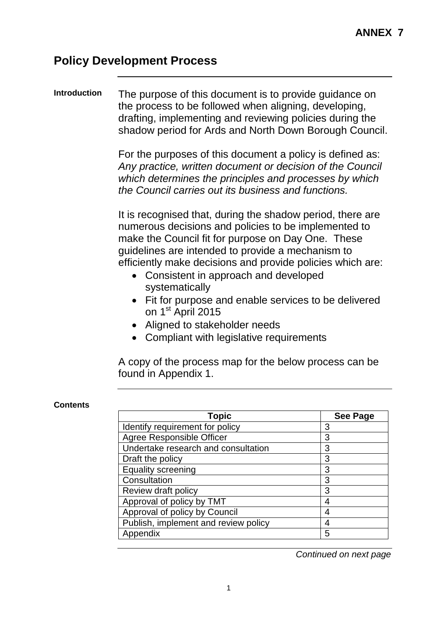### **Policy Development Process**

#### **Introduction** The purpose of this document is to provide guidance on the process to be followed when aligning, developing, drafting, implementing and reviewing policies during the shadow period for Ards and North Down Borough Council.

For the purposes of this document a policy is defined as: *Any practice, written document or decision of the Council which determines the principles and processes by which the Council carries out its business and functions.* 

It is recognised that, during the shadow period, there are numerous decisions and policies to be implemented to make the Council fit for purpose on Day One. These guidelines are intended to provide a mechanism to efficiently make decisions and provide policies which are:

- Consistent in approach and developed systematically
- Fit for purpose and enable services to be delivered on 1<sup>st</sup> April 2015
- Aligned to stakeholder needs
- Compliant with legislative requirements

A copy of the process map for the below process can be found in Appendix 1.

#### **Contents**

| <b>Topic</b>                         | <b>See Page</b> |
|--------------------------------------|-----------------|
| Identify requirement for policy      | 3               |
| Agree Responsible Officer            | 3               |
| Undertake research and consultation  | 3               |
| Draft the policy                     | 3               |
| <b>Equality screening</b>            | 3               |
| Consultation                         | 3               |
| Review draft policy                  | 3               |
| Approval of policy by TMT            |                 |
| Approval of policy by Council        |                 |
| Publish, implement and review policy |                 |
| Appendix                             | 5               |

*Continued on next page*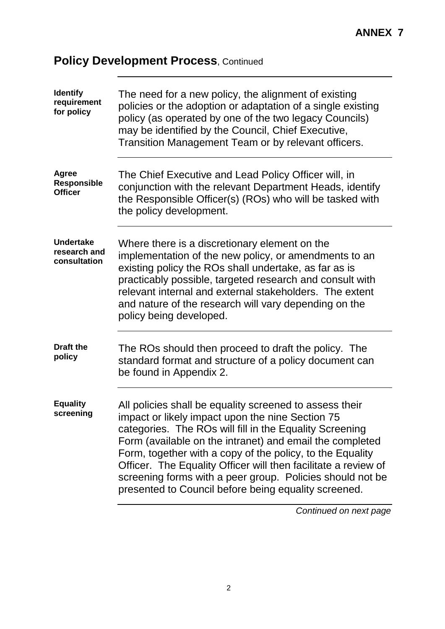# **Policy Development Process, Continued**

| <b>Identify</b><br>requirement<br>for policy         | The need for a new policy, the alignment of existing<br>policies or the adoption or adaptation of a single existing<br>policy (as operated by one of the two legacy Councils)<br>may be identified by the Council, Chief Executive,<br>Transition Management Team or by relevant officers.                                                                                                                                                                                             |
|------------------------------------------------------|----------------------------------------------------------------------------------------------------------------------------------------------------------------------------------------------------------------------------------------------------------------------------------------------------------------------------------------------------------------------------------------------------------------------------------------------------------------------------------------|
| <b>Agree</b><br><b>Responsible</b><br><b>Officer</b> | The Chief Executive and Lead Policy Officer will, in<br>conjunction with the relevant Department Heads, identify<br>the Responsible Officer(s) (ROs) who will be tasked with<br>the policy development.                                                                                                                                                                                                                                                                                |
| <b>Undertake</b><br>research and<br>consultation     | Where there is a discretionary element on the<br>implementation of the new policy, or amendments to an<br>existing policy the ROs shall undertake, as far as is<br>practicably possible, targeted research and consult with<br>relevant internal and external stakeholders. The extent<br>and nature of the research will vary depending on the<br>policy being developed.                                                                                                             |
| <b>Draft the</b><br>policy                           | The ROs should then proceed to draft the policy. The<br>standard format and structure of a policy document can<br>be found in Appendix 2.                                                                                                                                                                                                                                                                                                                                              |
| <b>Equality</b><br>screening                         | All policies shall be equality screened to assess their<br>impact or likely impact upon the nine Section 75<br>categories. The ROs will fill in the Equality Screening<br>Form (available on the intranet) and email the completed<br>Form, together with a copy of the policy, to the Equality<br>Officer. The Equality Officer will then facilitate a review of<br>screening forms with a peer group. Policies should not be<br>presented to Council before being equality screened. |

*Continued on next page*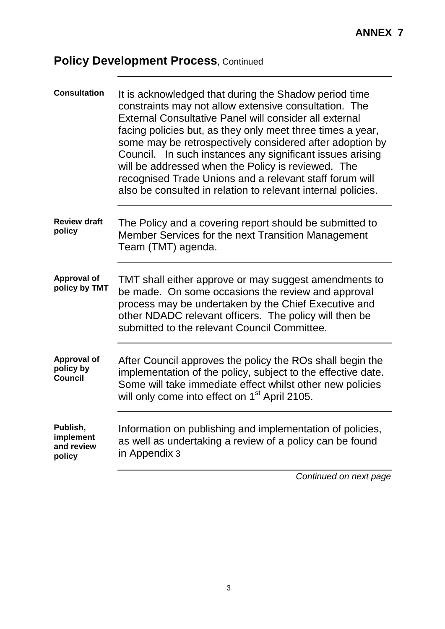# **Policy Development Process, Continued**

| <b>Consultation</b>                               | It is acknowledged that during the Shadow period time<br>constraints may not allow extensive consultation. The<br>External Consultative Panel will consider all external<br>facing policies but, as they only meet three times a year,<br>some may be retrospectively considered after adoption by<br>Council. In such instances any significant issues arising<br>will be addressed when the Policy is reviewed. The<br>recognised Trade Unions and a relevant staff forum will<br>also be consulted in relation to relevant internal policies. |
|---------------------------------------------------|--------------------------------------------------------------------------------------------------------------------------------------------------------------------------------------------------------------------------------------------------------------------------------------------------------------------------------------------------------------------------------------------------------------------------------------------------------------------------------------------------------------------------------------------------|
| <b>Review draft</b><br>policy                     | The Policy and a covering report should be submitted to<br>Member Services for the next Transition Management<br>Team (TMT) agenda.                                                                                                                                                                                                                                                                                                                                                                                                              |
| <b>Approval of</b><br>policy by TMT               | TMT shall either approve or may suggest amendments to<br>be made. On some occasions the review and approval<br>process may be undertaken by the Chief Executive and<br>other NDADC relevant officers. The policy will then be<br>submitted to the relevant Council Committee.                                                                                                                                                                                                                                                                    |
| <b>Approval of</b><br>policy by<br><b>Council</b> | After Council approves the policy the ROs shall begin the<br>implementation of the policy, subject to the effective date.<br>Some will take immediate effect whilst other new policies<br>will only come into effect on 1 <sup>st</sup> April 2105.                                                                                                                                                                                                                                                                                              |
| Publish,<br>implement<br>and review<br>policy     | Information on publishing and implementation of policies,<br>as well as undertaking a review of a policy can be found<br>in Appendix 3                                                                                                                                                                                                                                                                                                                                                                                                           |
|                                                   | Continued on next page                                                                                                                                                                                                                                                                                                                                                                                                                                                                                                                           |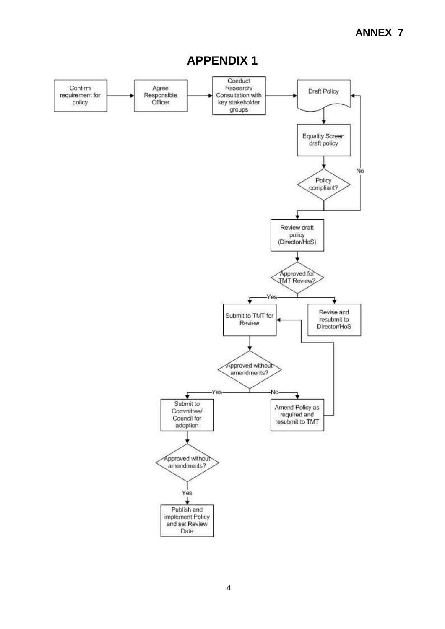### **ANNEX 7**



### **APPENDIX 1**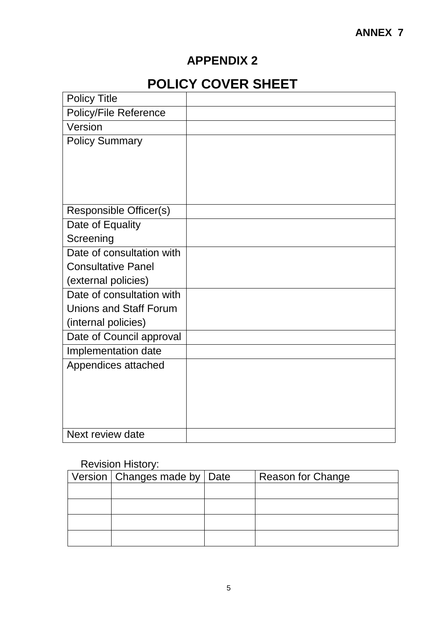### **APPENDIX 2**

# **POLICY COVER SHEET**

| <b>Policy Title</b>           |  |
|-------------------------------|--|
| Policy/File Reference         |  |
| Version                       |  |
| <b>Policy Summary</b>         |  |
|                               |  |
|                               |  |
|                               |  |
|                               |  |
| Responsible Officer(s)        |  |
| Date of Equality              |  |
| Screening                     |  |
| Date of consultation with     |  |
| <b>Consultative Panel</b>     |  |
| (external policies)           |  |
| Date of consultation with     |  |
| <b>Unions and Staff Forum</b> |  |
| (internal policies)           |  |
| Date of Council approval      |  |
| Implementation date           |  |
| Appendices attached           |  |
|                               |  |
|                               |  |
|                               |  |
|                               |  |
| Next review date              |  |

#### Revision History:

| Version   Changes made by   Date | <b>Reason for Change</b> |
|----------------------------------|--------------------------|
|                                  |                          |
|                                  |                          |
|                                  |                          |
|                                  |                          |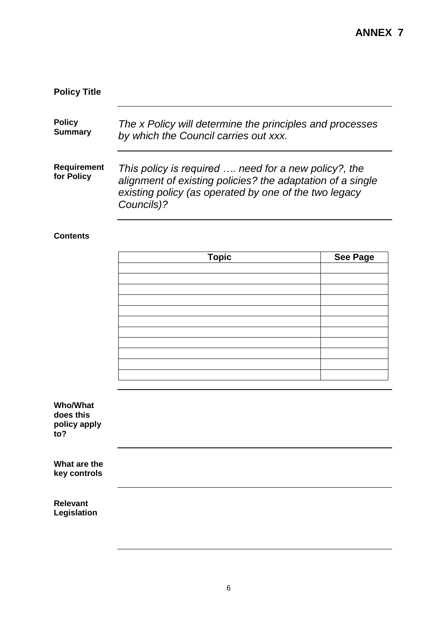## **Policy Title**

| <b>Policy</b>                    | The x Policy will determine the principles and processes                                                                                                                                  |
|----------------------------------|-------------------------------------------------------------------------------------------------------------------------------------------------------------------------------------------|
| <b>Summary</b>                   | by which the Council carries out xxx.                                                                                                                                                     |
| <b>Requirement</b><br>for Policy | This policy is required  need for a new policy?, the<br>alignment of existing policies? the adaptation of a single<br>existing policy (as operated by one of the two legacy<br>Councils)? |

#### **Contents**

| <b>Topic</b> | See Page |
|--------------|----------|
|              |          |
|              |          |
|              |          |
|              |          |
|              |          |
|              |          |
|              |          |
|              |          |
|              |          |
|              |          |
|              |          |

| Who/What            |
|---------------------|
| does this           |
| policy apply<br>to? |

| What are the |  |
|--------------|--|
| key controls |  |

**Relevant Legislation**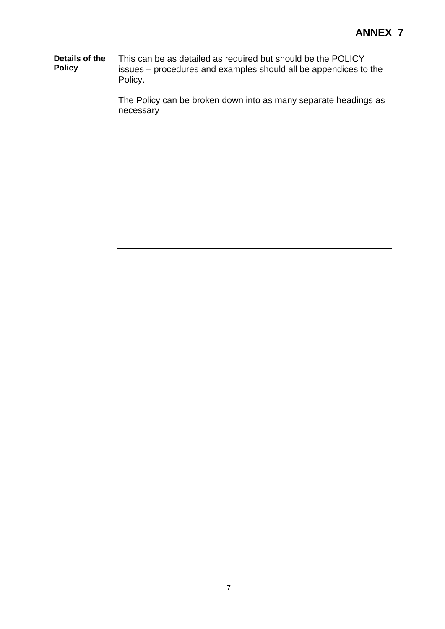**Details of the Policy** This can be as detailed as required but should be the POLICY issues – procedures and examples should all be appendices to the Policy.

> The Policy can be broken down into as many separate headings as necessary